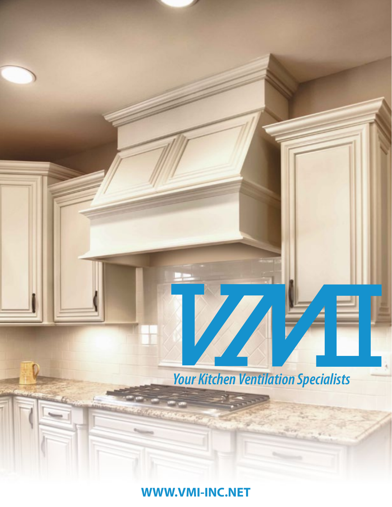

**WWW.VMI-INC.NET**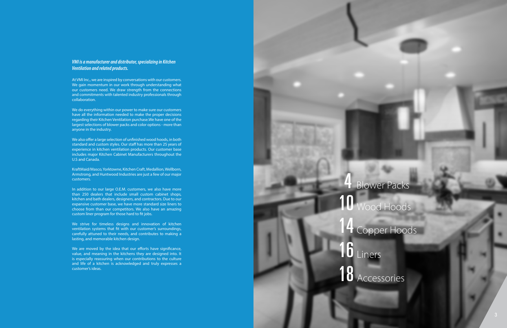#### *VMI is a manufacturer and distributor, specializing in Kitchen Ventilation and related products.*

At VMI Inc., we are inspired by conversations with our customers. We gain momentum in our work through understanding what our customers need. We draw strength from the connections and commitments with talented industry professionals through collaboration.

We do everything within our power to make sure our customers have all the information needed to make the proper decisions regarding their Kitchen Ventilation purchase.We have one of the largest selections of blower packs and color options - more than anyone in the industry.

We also offer a large selection of unfinished wood hoods, in both standard and custom styles. Our staff has more than 25 years of experience in kitchen ventilation products. Our customer base includes major Kitchen Cabinet Manufacturers throughout the U.S and Canada.

We are moved by the idea that our efforts have significance, value, and meaning in the kitchens they are designed into. It is especially reassuring when our contributions to the culture and life of a kitchen is acknowledged and truly expresses a customer's ideas.

KraftMaid/Masco, Yorktowne, Kitchen Craft, Medallion, Wellborn, Armstrong, and Huntwood Industries are just a few of our major customers.

In addition to our large O.E.M. customers, we also have more than 250 dealers that include small custom cabinet shops, kitchen and bath dealers, designers, and contractors. Due to our expansive customer base, we have more standard size liners to choose from than our competitors. We also have an amazing custom liner program for those hard to fit jobs.

We strive for timeless designs and innovation of kitchen ventilation systems that fit with our customer's surroundings, carefully attuned to their needs, and contributes to making a lasting, and memorable kitchen design.

# 10 Wood Hoods 14 Copper Hoods

16 Liners

18 Accessories

**Blower Packs**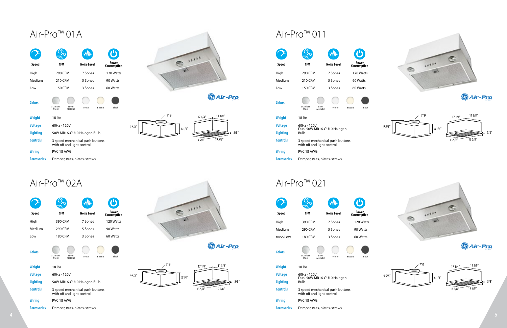## Air-Pro™ 01A Air-Pro™ 011

|                    |                                                               | w₩                 | U                    |                         |                    |                                                         | <b>WWW</b>         |
|--------------------|---------------------------------------------------------------|--------------------|----------------------|-------------------------|--------------------|---------------------------------------------------------|--------------------|
| Speed              | <b>CFM</b>                                                    | <b>Noise Level</b> | Power<br>Consumption | 1111                    | <b>Speed</b>       | <b>CFM</b>                                              | <b>Noise Level</b> |
| High               | 290 CFM                                                       | 7 Sones            | 120 Watts            |                         | High               | <b>290 CFM</b>                                          | 7 Sones            |
| Medium             | 210 CFM                                                       | 5 Sones            | 90 Watts             |                         | Medium             | 210 CFM                                                 | 5 Sones            |
| Low                | <b>150 CFM</b>                                                | 3 Sones            | 60 Watts             |                         | Low                | 150 CFM                                                 | 3 Sones            |
| <b>Colors</b>      | Silver<br>Metallic<br>Stainless<br>Steel                      | White              | Black<br>Biscuit     | <b>SAir-Pro</b>         | <b>Colors</b>      | Stainless<br>Silver<br>Metallic<br>Steel                | White              |
| <b>Weight</b>      | 18 lbs                                                        |                    |                      | ″Ø<br>113/8''<br>171/4" | <b>Weight</b>      | 18 lbs                                                  |                    |
| <b>Voltage</b>     | 60Hz - 120V                                                   |                    |                      | 95/8''                  | <b>Voltage</b>     | 60Hz - 120V                                             |                    |
| <b>Lighting</b>    | 50W MR16-GU10 Halogen Bulb                                    |                    |                      | 81/4''<br>5/8''         | <b>Lighting</b>    | Dual 50W MR16-GU10 Halo<br>Bulb                         |                    |
| <b>Controls</b>    | 3 speed mechanical push buttons<br>with off and light control |                    |                      | 195/8"<br>$13\,5/8''$   | <b>Controls</b>    | 3 speed mechanical push b<br>with off and light control |                    |
| <b>Wiring</b>      | PVC 18 AWG                                                    |                    |                      |                         | <b>Wiring</b>      | PVC 18 AWG                                              |                    |
| <b>Accessories</b> | Damper, nuts, plates, screws                                  |                    |                      |                         | <b>Accessories</b> | Damper, nuts, plates, screw                             |                    |

## 290 CFM 7 Sones 120 Watts 200 CFM 290 CFM 290 CFM 290 CFM 290 CFM 290 CFM 290 CFM 290 CFM 2010 120 Watts 200 CFM 2010 120 Watts 200 CFM 2010 120 Watts 200 CFM 2010 120 Watts 2010 120 Watts 2010 120 Watts 2010 120 Watts 201 7 Sones 7 Sones 210 CFM 5 Sones 90 Watts 3 and 210 CFM 210 CFM 210 CFM 210 CFM 210 CFM 210 CFM 210 CFM 210 CFM 210 CFM 210 CFM 5 Sones 5 90 Watts 5 Sones 5 Sones 5 Sones 5 Sones 5 Sones 5 Sones 5 Sones 5 Sones 5 Sones 5 Sones 5 Sones 5 Sones 5 Sones 5 Sones 5 Sones 5 Sones 5 Sones 5 Sones 5 Sones 5 Sones 5 Sones 5 Sones 5 Sones 5 Sones 5 Sones 5 S 150 CFM 3 Sones 60 Watts 8 and 150 CFM 150 CFM 150 CFM 150 CFM 150 CFM 150 CFM 150 CFM 150 CFM 150 CFM 150 CFM 3 Sones 60 Watts 3 Sones 8 Sones 3 Sones 8 Sones 8 Sones 8 Sones 8 Sones 8 Sones 8 Sones 8 Sones 8 Sones 8 Sones

|                    |                                                               | w <b>yy</b> a      | $\bigcirc$           |        |                   |                    |                                                         | <b>MM</b>          |
|--------------------|---------------------------------------------------------------|--------------------|----------------------|--------|-------------------|--------------------|---------------------------------------------------------|--------------------|
| <b>Speed</b>       | <b>CFM</b>                                                    | <b>Noise Level</b> | Power<br>Consumption | 1111   |                   | <b>Speed</b>       | <b>CFM</b>                                              | <b>Noise Level</b> |
| High               | 390 CFM                                                       | 7 Sones            | 120 Watts            |        |                   | High               | 390 CFM                                                 | 7 Sones            |
| Medium             | 290 CFM                                                       | 5 Sones            | 90 Watts             |        |                   | Medium             | 290 CFM                                                 | 5 Sones            |
| Low                | <b>180 CFM</b>                                                | 3 Sones            | 60 Watts             |        |                   | tvvvvLow           | 180 CFM                                                 | 3 Sones            |
| <b>Colors</b>      | Stainless<br>Silver<br>Metallic<br>Steel                      | White              | Biscuit<br>Black     |        | <b>S</b> Air-Pro  | <b>Colors</b>      | Stainless<br>Silver<br>Metallic<br>Steel                | White              |
| <b>Weight</b>      | 18 lbs                                                        |                    |                      | 7″ Ø   | 113/8"<br>171/4'' | <b>Weight</b>      | 18 lbs                                                  |                    |
| <b>Voltage</b>     | 60Hz - 120V                                                   |                    |                      | 95/8'' |                   | <b>Voltage</b>     | 60Hz - 120V                                             |                    |
| <b>Lighting</b>    | 50W MR16-GU10 Halogen Bulb                                    |                    |                      | 81/4"  | 5/8''             | <b>Lighting</b>    | Dual 50W MR16-GU10 Halo<br>Bulb                         |                    |
| <b>Controls</b>    | 3 speed mechanical push buttons<br>with off and light control |                    |                      |        | 195/8"<br>13 5/8" | <b>Controls</b>    | 3 speed mechanical push b<br>with off and light control |                    |
| <b>Wiring</b>      | PVC 18 AWG                                                    |                    |                      |        |                   | <b>Wiring</b>      | PVC 18 AWG                                              |                    |
| <b>Accessories</b> | Damper, nuts, plates, screws                                  |                    |                      |        |                   | <b>Accessories</b> | Damper, nuts, plates, screw                             |                    |





| oise Level            | $\bigcirc$<br>Power<br>Consumption | 11111<br><b>CED</b>      | 67<br>Speed        | $\frac{1}{\sqrt{2}}$<br><b>CFM</b>       | <b>Noise Level</b>              | U)<br>Power<br>Consumption | $+1117$        |       |
|-----------------------|------------------------------------|--------------------------|--------------------|------------------------------------------|---------------------------------|----------------------------|----------------|-------|
| 7 Sones               | 120 Watts                          |                          | High               | 290 CFM                                  | 7 Sones                         | 120 Watts                  | $\circledcirc$ |       |
| 5 Sones               | 90 Watts                           |                          | Medium             | 210 CFM                                  | 5 Sones                         | 90 Watts                   |                |       |
| 3 Sones               | 60 Watts                           |                          | Low                | <b>150 CFM</b>                           | 3 Sones                         | 60 Watts                   |                |       |
| White                 | Black<br>Biscuit                   | <b>Sair-Pro</b>          | <b>Colors</b>      | Stainless<br>Steel<br>Silver<br>Metallic | White                           | Biscuit<br>Black           |                |       |
|                       |                                    | 7″Ø<br>113/8''<br>171/4" | Weight             | 18 lbs                                   |                                 |                            | 7″Ø            |       |
|                       |                                    | 95/8''                   | <b>Voltage</b>     | 60Hz - 120V                              |                                 |                            | 95/8''         |       |
| alogen Bulb           |                                    | 81/4"<br>5/8''           | <b>Lighting</b>    | Bulb                                     | Dual 50W MR16-GU10 Halogen      |                            |                | 81/4" |
| push buttons<br>ntrol |                                    | 195/8''<br>$13\,5/8''$   | <b>Controls</b>    | with off and light control               | 3 speed mechanical push buttons |                            |                |       |
|                       |                                    |                          | <b>Wiring</b>      | PVC 18 AWG                               |                                 |                            |                |       |
| s, screws             |                                    |                          | <b>Accessories</b> | Damper, nuts, plates, screws             |                                 |                            |                |       |
|                       |                                    |                          |                    |                                          |                                 |                            |                |       |

| $\frac{1}{\sqrt{2}}$<br><b>CFM</b>                            | <b>WW</b><br><b>Noise Level</b> | $\left  \mathbf{U}\right $<br>Power<br>Consumption | 11111<br>$\circledcirc$               | 134<br>Speed       | $\frac{O}{\delta}$<br><b>CFM</b>                              | <b>Noise Level</b> | $\boldsymbol{\mathsf{C}}$<br>Power<br>Consumption | $\circ$<br>$+1117$                         |
|---------------------------------------------------------------|---------------------------------|----------------------------------------------------|---------------------------------------|--------------------|---------------------------------------------------------------|--------------------|---------------------------------------------------|--------------------------------------------|
| 390 CFM                                                       | 7 Sones                         | 120 Watts                                          | المنا                                 | High               | 390 CFM                                                       | 7 Sones            | 120 Watts                                         | ⊜                                          |
| 290 CFM                                                       | 5 Sones                         | 90 Watts                                           |                                       | Medium             | 290 CFM                                                       | 5 Sones            | 90 Watts                                          |                                            |
| <b>180 CFM</b>                                                | 3 Sones                         | 60 Watts                                           |                                       | tvvvvLow           | <b>180 CFM</b>                                                | 3 Sones            | 60 Watts                                          |                                            |
| itainless<br>Silver<br>Metallic<br>Steel                      | White                           | Black<br>Biscuit                                   | <b>Sair-Pro</b>                       | <b>Colors</b>      | Stainless<br>Steel<br>Silver<br>Metallic                      | White              | Black<br>Biscuit                                  |                                            |
| 18 lbs                                                        |                                 |                                                    | 113/8"<br>$171/4''$ $\longrightarrow$ | <b>Weight</b>      | 18 lbs                                                        |                    |                                                   | 1''0<br>171/4''                            |
| 60Hz - 120V                                                   |                                 |                                                    | 95/8''                                | <b>Voltage</b>     | 60Hz - 120V                                                   |                    |                                                   | 95/8''                                     |
| 50W MR16-GU10 Halogen Bulb                                    |                                 |                                                    | 81/4"<br>5/8''                        | <b>Lighting</b>    | Dual 50W MR16-GU10 Halogen<br>Bulb                            |                    |                                                   | 81/4"<br><b>Contract Contract Contract</b> |
| 3 speed mechanical push buttons<br>with off and light control |                                 |                                                    | 195/8"<br>$13\,5/8''$                 | <b>Controls</b>    | 3 speed mechanical push buttons<br>with off and light control |                    |                                                   | $13\,5\sqrt{8''}$                          |
| PVC 18 AWG                                                    |                                 |                                                    |                                       | <b>Wiring</b>      | PVC 18 AWG                                                    |                    |                                                   |                                            |
| Damper, nuts, plates, screws                                  |                                 |                                                    |                                       | <b>Accessories</b> | Damper, nuts, plates, screws                                  |                    |                                                   |                                            |







![](_page_2_Figure_17.jpeg)

![](_page_2_Picture_18.jpeg)

**S**Air-Pro

![](_page_2_Figure_20.jpeg)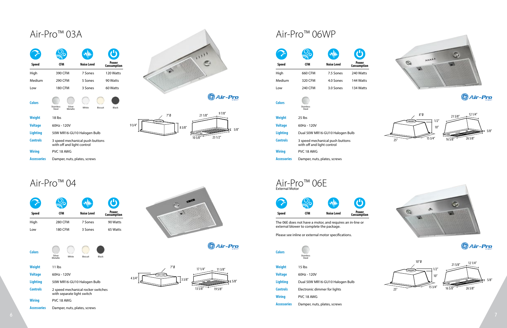| ۳<br>Power<br><b>Consumption</b> |
|----------------------------------|
| 90 Watts                         |
| 65 Watts                         |
|                                  |

| <b>Colors</b> |                    |       |         |       |
|---------------|--------------------|-------|---------|-------|
|               | Silver<br>Metallic | White | Biscuit | Black |

| <b>Weight</b>   | $11$ lbs                                                         |
|-----------------|------------------------------------------------------------------|
| <b>Voltage</b>  | $60Hz - 120V$                                                    |
| <b>Lighting</b> | 50W MR16-GU10 Halogen Bulb                                       |
| Controls        | 2 speed mechanical rocker switches<br>with separate light switch |
| <b>Wiring</b>   | PVC 18 AWG                                                       |
| Accessories     | Damper, nuts, plates, screws                                     |

![](_page_3_Picture_11.jpeg)

**Sair-Pro** 

![](_page_3_Figure_4.jpeg)

![](_page_3_Figure_13.jpeg)

## Air-Pro™ 03A

Air-Pro™ 04

|                    |                                                               |                    | Ü                    |                 |                        |                    |                             |
|--------------------|---------------------------------------------------------------|--------------------|----------------------|-----------------|------------------------|--------------------|-----------------------------|
| <b>Speed</b>       | <b>CFM</b>                                                    | <b>Noise Level</b> | Power<br>Consumption |                 |                        | <b>Speed</b>       | <b>CFM</b>                  |
| High               | 390 CFM                                                       | 7 Sones            | 120 Watts            |                 |                        | High               | 660 CFM                     |
| Medium             | 290 CFM                                                       | 5 Sones            | 90 Watts             |                 |                        | Medium             | 320 CFM                     |
| Low                | 180 CFM                                                       | 3 Sones            | 60 Watts             |                 |                        | Low                | 240 CFM                     |
| <b>Colors</b>      | Stainless<br>Steel<br>Silver<br>Metallic                      | White              | Biscuit<br>Black     |                 | <b>S</b> Air-Pro       | <b>Colors</b>      | Stainless<br>Steel          |
| <b>Weight</b>      | 18 lbs                                                        |                    |                      | 7″Ø             | 97/8''<br>211/8"       | <b>Weight</b>      | 25 lbs                      |
| <b>Voltage</b>     | 60Hz - 120V                                                   |                    |                      | 93/4''<br>83/8" |                        | <b>Voltage</b>     | 60Hz - 120V                 |
| <b>Lighting</b>    | 50W MR16-GU10 Halogen Bulb                                    |                    |                      |                 | 5/8''<br>$\Rightarrow$ | <b>Lighting</b>    | Dual 50W M                  |
| <b>Controls</b>    | 3 speed mechanical push buttons<br>with off and light control |                    |                      |                 | 23 1/2"<br>105/8''     | <b>Controls</b>    | 3 speed med<br>with off and |
| <b>Wiring</b>      | PVC 18 AWG                                                    |                    |                      |                 |                        | <b>Wiring</b>      | PVC 18 AWG                  |
| <b>Accessories</b> | Damper, nuts, plates, screws                                  |                    |                      |                 |                        | <b>Accessories</b> | Damper, nut                 |

![](_page_3_Picture_2.jpeg)

The 06E does not have a motor, and requires an in-line or external blower to complete the package.

Please see inline or external motor specifications.

| Colors             | <b>Stainless</b><br>Steel       |
|--------------------|---------------------------------|
| Weight             | $15$ lbs                        |
| <b>Voltage</b>     | $60Hz - 120V$                   |
| <b>Lighting</b>    | Dual 50W MR16-GU10 Halogen Bulb |
| <b>Controls</b>    | Electronic dimmer for lights    |
| <b>Wiring</b>      | PVC 18 AWG                      |
| <b>Accessories</b> | Damper, nuts, plates, screws    |

![](_page_3_Picture_20.jpeg)

![](_page_3_Picture_21.jpeg)

**Speed**

![](_page_3_Figure_15.jpeg)

|                                                               | w₩                 | $\mathbf{\Theta}$    | $\mathcal{A}$                                              | $\mathcal{L}$                   |                            | WILLIAM                         |                      |
|---------------------------------------------------------------|--------------------|----------------------|------------------------------------------------------------|---------------------------------|----------------------------|---------------------------------|----------------------|
| <b>CFM</b>                                                    | <b>Noise Level</b> | Power<br>Consumption |                                                            | <b>Speed</b>                    | <b>CFM</b>                 | <b>Noise Level</b>              | Power<br>Consumption |
| 390 CFM                                                       | 7 Sones            | 120 Watts            |                                                            | High                            | 660 CFM                    | 7.5 Sones                       | 240 Watts            |
| 290 CFM                                                       | 5 Sones            | 90 Watts             |                                                            | Medium                          | 320 CFM                    | 4.0 Sones                       | 144 Watts            |
| <b>180 CFM</b>                                                | 3 Sones            | 60 Watts             |                                                            | Low                             | 240 CFM                    | 3.0 Sones                       | 134 Watts            |
| Silver<br>Metallic<br>itainless<br>Steel                      | White              | Biscuit<br>Black     | <b>S</b> Air-Pro                                           | <b>Colors</b>                   | Stainless<br>Steel         |                                 |                      |
| 18 lbs<br>60Hz - 120V                                         |                    |                      | 97/8''<br>$7^{\prime\prime}\emptyset$<br>211/8''<br>93/4'' | <b>Weight</b><br><b>Voltage</b> | 25 lbs<br>60Hz - 120V      |                                 |                      |
| 50W MR16-GU10 Halogen Bulb                                    |                    |                      | 83/8''<br>5/8''<br>$\overline{\phantom{0}}$                | <b>Lighting</b>                 |                            | Dual 50W MR16-GU10 Halogen Bulb |                      |
| 3 speed mechanical push buttons<br>with off and light control |                    |                      | 23 1/2"<br>$10\,5/8''$                                     | <b>Controls</b>                 | with off and light control | 3 speed mechanical push buttons |                      |
| PVC 18 AWG                                                    |                    |                      |                                                            | <b>Wiring</b>                   | PVC 18 AWG                 |                                 |                      |
| Damper, nuts, plates, screws                                  |                    |                      |                                                            | <b>Accessories</b>              |                            | Damper, nuts, plates, screws    |                      |
|                                                               |                    |                      |                                                            |                                 |                            |                                 |                      |

![](_page_3_Figure_22.jpeg)

![](_page_3_Picture_23.jpeg)

**SAir-Pro** 

![](_page_3_Figure_25.jpeg)

## Air-Pro™ 06WP

![](_page_3_Figure_14.jpeg)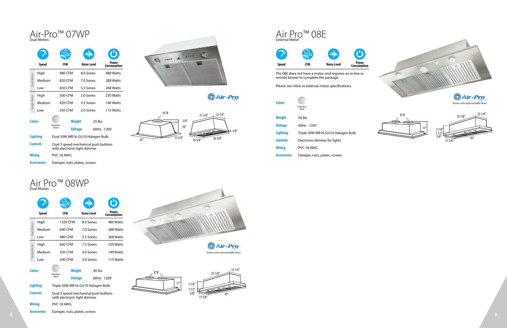![](_page_4_Picture_2.jpeg)

**Sair-Pro** 

# Air-Pro™ 07WP

|                    | <b>Speed</b>                   | CFM              | Noise Level                                                          | Power<br>Consumption |  |  |  |  |
|--------------------|--------------------------------|------------------|----------------------------------------------------------------------|----------------------|--|--|--|--|
|                    | High                           | 980 CFM          | 8.0 Sones                                                            | 480 Watts            |  |  |  |  |
| <b>Dual Motors</b> | Medium                         | 820 CFM          | 7.0 Sones                                                            | 288 Watts            |  |  |  |  |
|                    | Low                            | 650 CFM          | 5.5 Sones                                                            | 268 Watts            |  |  |  |  |
|                    | High                           | 500 CFM          | 5.0 Sones                                                            | 230 Watts            |  |  |  |  |
| Single Motor       | Medium                         | 420 CFM          | 3.5 Sones                                                            | 140 Watts            |  |  |  |  |
|                    | Low                            | 330 CFM          | 2.0 Sones                                                            | 115 Watts            |  |  |  |  |
| <b>Colors</b>      |                                | <b>Stainless</b> | <b>Weight</b>                                                        | 25 lbs               |  |  |  |  |
|                    |                                | Steel            | <b>Voltage</b>                                                       | 60Hz - 120V          |  |  |  |  |
|                    | <b>Lighting</b>                |                  | Dual 50W MR16-GU10 Halogen Bulb                                      |                      |  |  |  |  |
|                    | <b>Controls</b>                |                  | Dual 3 speed mechanical push buttons<br>with electronic light dimmer |                      |  |  |  |  |
| <b>Wiring</b>      |                                | PVC 18 AWG       |                                                                      |                      |  |  |  |  |
|                    | <b>Accessories</b>             |                  | Damper, nuts, plates, screws                                         |                      |  |  |  |  |
|                    | Air Pro™<br><b>Dual Motors</b> |                  | 08WP                                                                 |                      |  |  |  |  |
|                    | <b>Speed</b>                   | CFM              | <b>Noise Level</b>                                                   | Power<br>Consumption |  |  |  |  |
|                    | High                           | 1320 CFM         | 8.0 Sones                                                            | 480 Watt:            |  |  |  |  |
|                    | Medium                         | 640 CFM          | 7.0 Sones                                                            | 288 Watt:            |  |  |  |  |
| ē                  | Low                            | 480 CFM          | 5.5 Sones                                                            | 268 Watt:            |  |  |  |  |
|                    | High                           | 660 CFM          | 7.5 Sones                                                            | 230 Watt:            |  |  |  |  |
| Single Motor       | Medium                         | 320 CFM          | 4.0 Sones                                                            | 149 Watt:            |  |  |  |  |
|                    | Low                            | 240 CFM          | 3.0 Sones                                                            | 115 Watt:            |  |  |  |  |
| <b>Colors</b>      |                                |                  | <b>Weight</b>                                                        | 40 lbs               |  |  |  |  |

| <b>Speed</b>                            | <b>CFM</b> | <b>Noise Level</b> | <b>Power</b><br><b>Consumption</b> |  |  |  |  |
|-----------------------------------------|------------|--------------------|------------------------------------|--|--|--|--|
|                                         |            |                    | H)                                 |  |  |  |  |
| Air Pro <sup>TM</sup><br>External Motor |            |                    |                                    |  |  |  |  |

|                    | <b>Speed</b>       | <b>CFM</b>                   |                                                                      | <b>Noise Level</b> |                       | Power<br>Consumption |  |  |
|--------------------|--------------------|------------------------------|----------------------------------------------------------------------|--------------------|-----------------------|----------------------|--|--|
|                    | High               | 1320 CFM                     |                                                                      | 8.0 Sones          |                       | 480 Watts            |  |  |
| <b>Dual Motors</b> | Medium             | 640 CFM                      |                                                                      | 7.0 Sones          |                       | 288 Watts            |  |  |
|                    | Low                | 480 CFM                      |                                                                      | 5.5 Sones          |                       | 268 Watts            |  |  |
|                    | High               | 660 CFM                      |                                                                      | 7.5 Sones          |                       | 230 Watts            |  |  |
| Single Motor       | Medium             | 320 CFM                      |                                                                      | 4.0 Sones          |                       | 149 Watts            |  |  |
|                    | Low                | 240 CFM                      |                                                                      | 3.0 Sones          |                       | 115 Watts            |  |  |
| <b>Colors</b>      |                    | <b>Stainless</b><br>Steel    | Weight<br><b>Voltage</b>                                             |                    | 40 lbs<br>60Hz - 120V |                      |  |  |
|                    | <b>Lighting</b>    |                              |                                                                      |                    |                       |                      |  |  |
|                    |                    |                              | Triple 50W MR16-GU10 Halogen Bulb                                    |                    |                       |                      |  |  |
| <b>Controls</b>    |                    |                              | Dual 3 speed mechanical push buttons<br>with electronic light dimmer |                    |                       |                      |  |  |
|                    | <b>Wiring</b>      | PVC 18 AWG                   |                                                                      |                    |                       |                      |  |  |
|                    | <b>Accessories</b> | Damper, nuts, plates, screws |                                                                      |                    |                       |                      |  |  |

| Colors             | <b>Stainless</b><br>Steel         |
|--------------------|-----------------------------------|
| Weight             | $20$ lbs                          |
| <b>Voltage</b>     | $60Hz - 120V$                     |
| Lighting           | Triple 50W MR16-GU10 Halogen Bulb |
| <b>Controls</b>    | Electronic dimmer for lights      |
| Wiring             | PVC 18 AWG                        |
| <b>Accessories</b> | Damper, nuts, plates, screws      |

# Air Pro™ 08WP

![](_page_4_Picture_11.jpeg)

Shown with optional baffle filters

![](_page_4_Figure_4.jpeg)

![](_page_4_Figure_12.jpeg)

![](_page_4_Picture_14.jpeg)

**Sair-Pro** 

![](_page_4_Figure_17.jpeg)

The 08E does not have a motor, and requires an in-line or remote blower to complete the package.

Please see inline or external motor specifications.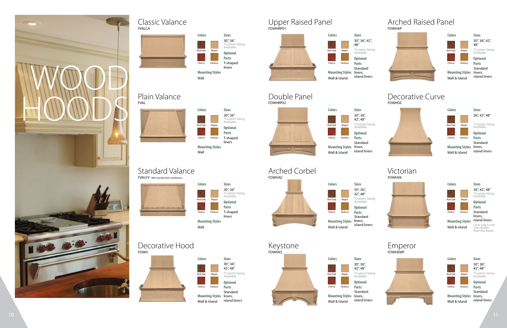**Colors**

**Sizes**

**Sizes**

#### **Sizes**

**Mounting Styles**

**Sizes**

**Optional Parts**

**Optional Parts**

#### **Optional**

**Optional Parts**

# FDWHDC

![](_page_5_Picture_36.jpeg)

**Mounting Styles** liners, Wall & Island

\*Custom Sizing Available

#### Decorative Hood Keystone Keystone Empe Decorative Hood **Keystone** Keystone **Emperor**

![](_page_5_Picture_11.jpeg)

**Mounting Styles** liners, Wall & Island

**Mounting Styles** Wall & Island

\*Custom Sizing Available

> Liner size is one size smaller than the hood.

![](_page_5_Picture_55.jpeg)

![](_page_5_Figure_57.jpeg)

\*Custom Sizing Available

|                        | liners       |
|------------------------|--------------|
| <b>Mounting Styles</b> |              |
| Wall                   |              |
|                        |              |
|                        |              |
|                        |              |
|                        |              |
|                        |              |
|                        |              |
| <b>Colors</b>          | <b>Sizes</b> |
|                        | 30", 36",    |
|                        | 42", 48"     |

![](_page_5_Picture_39.jpeg)

\*Custom Sizing Available

| Colors        |                 | <b>Sizes</b>                |
|---------------|-----------------|-----------------------------|
|               |                 | 30", 36",<br>42", 48"       |
| Red Oak       | Maple           | *Custom Sizing<br>Available |
|               |                 | <b>Optional</b>             |
| Cherry        | Hickory         | <b>Parts</b>                |
|               | Mounting Styles | Standard<br>liners,         |
| Wall & Island |                 | island liners               |

\*Custom Sizing Available

**Parts** Standard liners, island liners

![](_page_5_Figure_13.jpeg)

\*Custom Sizing Available 42", 48"

![](_page_5_Figure_20.jpeg)

30", 36"

\*Custom Sizing Available 30", 36", 42", 48"

![](_page_5_Figure_37.jpeg)

**Optional Parts** Standard liners, island liners

![](_page_5_Figure_23.jpeg)

| <b>Colors</b>  |         |
|----------------|---------|
|                |         |
| <b>Red Oak</b> | Maple   |
|                |         |
| Cherry         | Hickory |

#### **Colors Sizes Mounting Styles Optional Parts** \*Custom Sizing Available 30", 36" Wall T-shaped liners Red Oak Cherry Maple Hickory

# Standard Valance Arched Corbel Victorian<br>
FORLEY With Spindle Rails and Battens<br>
FDWHAC FORD FORMAC

![](_page_5_Picture_7.jpeg)

![](_page_5_Picture_8.jpeg)

![](_page_5_Figure_9.jpeg)

![](_page_5_Figure_18.jpeg)

**Optional Parts** Standard island liners

![](_page_5_Figure_15.jpeg)

30", 36",

**Optional Parts** Standard island liners

![](_page_5_Picture_44.jpeg)

![](_page_5_Figure_46.jpeg)

![](_page_5_Figure_21.jpeg)

Wall & Island

#### FVALCA Classic Valance

30", 36", 42", 48"

![](_page_5_Figure_2.jpeg)

## FDWHAC Arched Corbel

#### FVAL Plain Valance

![](_page_5_Figure_4.jpeg)

T-shaped liners

#### FDWHAP Arched Raised Panel

![](_page_5_Picture_29.jpeg)

## FDWHRP02 Double Panel

![](_page_5_Picture_17.jpeg)

T-shaped

## FDWHRP01 Upper Raised Panel

Standard

island liners

Red Oak

Cherry

Cherry

Maple

Hickory

Hickory

![](_page_5_Picture_0.jpeg)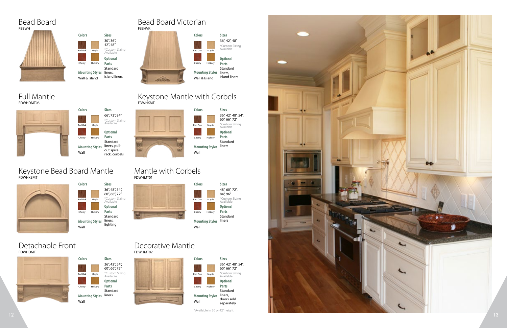![](_page_6_Picture_21.jpeg)

![](_page_6_Figure_18.jpeg)

![](_page_6_Figure_1.jpeg)

FDWHDMT03

\*Available in 30 or 42" height

![](_page_6_Figure_2.jpeg)

**Colors Sizes Mounting Styles Optional Parts** \*Custom Sizing Available Wall Standard liners, pullout spice rack, corbels Red Oak Cherry Maple Hickory

![](_page_6_Figure_10.jpeg)

![](_page_6_Figure_16.jpeg)

![](_page_6_Figure_13.jpeg)

![](_page_6_Figure_19.jpeg)

#### **Colors Sizes Mounting Styles Optional Parts** \*Custom Sizing Available 66", 72", 84" 36", 42", 48", 54", 60", 66", 72" Wall Standard liners Red Oak Cherry Maple Hickory

## FDWHKBMT Keystone Bead Board Mantle

![](_page_6_Figure_9.jpeg)

## FDWHDMT Detachable Front

![](_page_6_Picture_15.jpeg)

## FDWHMT01 Mantle with Corbels

#### FDWHMT02 Decorative Mantle

## FDWHKMT Keystone Mantle with Corbels

![](_page_6_Figure_6.jpeg)

Bead Board

Full Mantle

![](_page_6_Figure_4.jpeg)

#### FBBHVK Bead Board Victorian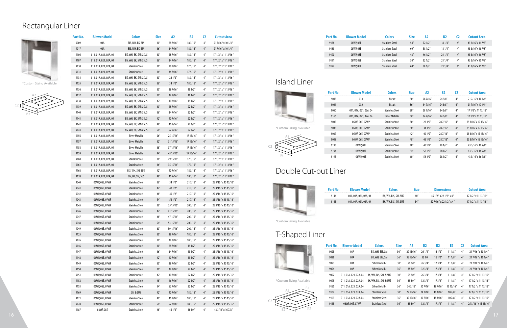|                          | Part No.     | <b>Blower Model</b>                | <b>Colors</b>                                    | <b>Size</b> | A2                 | B2                 | C <sub>2</sub>     | <b>Cutout Area</b>                           |                          | Part No.        | <b>Blower Model</b>                           | <b>Colors</b>                  | <b>Size</b>         | A2                          | <b>B2</b>                           | C <sub>2</sub>     | <b>Cutout Area</b>                              |
|--------------------------|--------------|------------------------------------|--------------------------------------------------|-------------|--------------------|--------------------|--------------------|----------------------------------------------|--------------------------|-----------------|-----------------------------------------------|--------------------------------|---------------------|-----------------------------|-------------------------------------|--------------------|-------------------------------------------------|
|                          | 9009         | 03A                                | BIS, WH, BK, SM                                  | 30''        | 287/16"            | 18 3/16"           |                    | 21 7/16" x 10 1/4"                           |                          | 9188            | 08WP, 08E                                     | <b>Stainless Steel</b>         | $54''$              | 521/2"                      | 181/4"                              | $4^{\prime\prime}$ | 43 3/16" x 16 7/8"                              |
|                          | 9017         | 03A                                | BIS, WH, BK, SM                                  | 36''        | 347/16"            | 18 3/16"           | $4^{\prime\prime}$ | 21 7/16" x 10 1/4"                           |                          | 9189            | 08WP, 08E                                     | <b>Stainless Steel</b>         | 60''                | 58 1/2"                     | 18 1/4"                             | 4''                | 43 3/16" x 16 7/8"                              |
|                          | 9106         | 011, 01A, 021, 02A, 04             | BIS, WH, BK, SM & SUS                            | 30''        | 287/16"            | 183/16"            |                    | 17 1/2" x 11 13/16"                          |                          | 9190            | 08WP, 08E                                     | <b>Stainless Steel</b>         | 48''                | 46 1/2"                     | 211/4"                              | 4''                | 43 3/16" x 16 7/8"                              |
|                          | 9107         | 011, 01A, 021, 02A, 04             | BIS, WH, BK, SM & SUS                            | 36''        | 347/16"            | 183/16"            |                    | 17 1/2" x 11 13/16"                          |                          | 9191            | 08WP, 08E                                     | <b>Stainless Steel</b>         | 54"                 | 52 1/2"                     | 211/4"                              | 4''                | 43 3/16" x 16 7/8"                              |
|                          | 9130         | 011, 01A, 021, 02A, 04             | Stainless Steel                                  | 30''        | 28 7/16"           | 175/16"            |                    | 17 1/2" x 11 13/16"                          |                          | 9192            | 08WP, 08E                                     | <b>Stainless Steel</b>         | 60''                | 58 1/2"                     | 211/4"                              | 4''                | 43 3/16" x 16 7/8"                              |
|                          | 9131         | 011, 01A, 021, 02A, 04             | <b>Stainless Steel</b>                           | 36''        | 347/16"            | 175/16"            |                    | 17 1/2" x 11 13/16"                          |                          |                 |                                               |                                |                     |                             |                                     |                    |                                                 |
|                          | 9134         | 011, 01A, 021, 02A, 04             | BIS, WH, BK, SM & SUS                            | 30''        | 28 1/2"            | 183/16"            |                    | 17 1/2" x 11 13/16"                          |                          |                 |                                               |                                |                     |                             |                                     |                    |                                                 |
| *Custom Sizing Available | 9135         | 011, 01A, 021, 02A, 04             | BIS, WH, BK, SM & SUS                            | 36''        | 34 1/2"            | 183/16"            | 4″                 | 17 1/2" x 11 13/16"                          | Island Liner             |                 |                                               |                                |                     |                             |                                     |                    |                                                 |
|                          | 9136         | 011, 01A, 021, 02A, 04             | BIS, WH, BK, SM & SUS                            | 30''        | 28 7/16"           | 19 1/2″            |                    | 17 1/2" x 11 13/16"                          |                          | <b>Part No.</b> | <b>Blower Model</b>                           | <b>Colors</b>                  | <b>Size</b>         | A2                          | <b>B2</b>                           | C <sub>2</sub>     | <b>Cutout Area</b>                              |
|                          | 9137         | 011, 01A, 021, 02A, 04             | BIS, WH, BK, SM & SUS                            | 36''        | 347/16"            | 191/2"             |                    | 17 1/2" x 11 13/16"                          |                          | 9013            | 03A                                           | <b>Biscuit</b>                 | 30''                | 287/16"                     | 24 3/8"                             | - 4″               | 21 7/16" x 10 1/4"                              |
|                          | 9138         | 011, 01A, 021, 02A, 04             | BIS, WH, BK, SM & SUS                            | 42''        | 407/16"            | 19 1/2"            |                    | 17 1/2" x 11 13/16"                          |                          | 9021            | 03A                                           | <b>Biscuit</b>                 | 36''                | 347/16"                     | 243/8''                             | $4^{\prime\prime}$ | 217/16" x 10 1/4"                               |
|                          | 9139         | 011, 01A, 021, 02A, 04             | BIS, WH, BK, SM & SUS                            | 30''        | 287/16"            | 221/2"             |                    | 17 1/2" x 11 13/16"                          |                          | 9050            | 011, 01A, 021, 02A, 04                        | <b>Stainless Steel</b>         | 30''                | 287/16"                     | 24 3/8"                             | - 4″               | 17 1/2" x 11 13/16"                             |
|                          | 9140         | 011, 01A, 021, 02A, 04             | BIS, WH, BK, SM & SUS                            | 36''        | 347/16"            | 221/2"             |                    | 17 1/2" x 11 13/16"                          |                          | 9166            | 011, 01A, 021, 02A, 04                        | <b>Silver Metallic</b>         | 36''                | 347/16"                     | 243/8''                             | $4^{\prime\prime}$ | 17 1/2" x 11 13/16"                             |
|                          | 9141         | 011, 01A, 021, 02A, 04             | BIS, WH, BK, SM & SUS                            | 42''        | 40 7/16"           | 221/2"             |                    | 17 1/2" x 11 13/16"                          |                          | 9035            | 06WP, 06E, 07WP                               | <b>Stainless Steel</b>         | 30''                | 28 1/2"                     | 287/16"                             | 4''                | 25 3/16" x 15 15/16"                            |
|                          | 9142         | 011, 01A, 021, 02A, 04             | BIS, WH, BK, SM & SUS                            | 48"         | 46 7/16"           | 221/2"             |                    | 17 1/2" x 11 13/16"                          | *Custom Sizing Available | 9036            | 06WP, 06E, 07WP                               | <b>Stainless Steel</b>         | 36''                | 341/2"                      | 28 7/16"                            | 4''                | 25 3/16" x 15 15/16"                            |
|                          | 9143         | 011, 01A, 021, 02A, 04             | BIS, WH, BK, SM & SUS                            | 54''        | 527/16"            | 221/2"             |                    | 17 1/2" x 11 13/16"                          |                          | 9037            | 06WP, 06E, 07WP                               | <b>Stainless Steel</b>         | 42''                | 40 1/2"                     | 28 7/16"                            | - 4″               | 25 3/16" x 15 15/16"                            |
|                          | 9156         | 011, 01A, 021, 02A, 04             | Silver Metallic                                  | 26''        | 25 15/16"          | 17 15/16"          |                    | 17 1/2" x 11 13/16"                          |                          | 9038            | 06WP, 06E, 07WP                               | <b>Stainless Steel</b>         | 48"                 | 46 1/2"                     | 287/16"                             | 4''                | 25 3/16" x 15 15/16"                            |
|                          | 9157         | 011, 01A, 021, 02A, 04             | <b>Silver Metallic</b>                           | 32''        | 31 15/16"          | 17 15/16"          |                    | 17 1/2" x 11 13/16"                          |                          | 9193            | 08WP, 08E                                     | <b>Stainless Steel</b>         | 48"                 | 46 1/2"                     | 28 1/2"                             | - 4″               | 43 3/16" x 16 7/8"                              |
|                          | 9158         | 011, 01A, 021, 02A, 04             | <b>Silver Metallic</b>                           | 38″         | 37 15/16"          | 17 15/16"          |                    | 17 1/2" x 11 13/16"                          |                          | 9194            | 08WP, 08E                                     | <b>Stainless Steel</b>         | 54''                | 521/2"                      | 281/2"                              | $4^{\prime\prime}$ | 43 3/16" x 16 7/8"                              |
|                          | 9159         | 011, 01A, 021, 02A, 04             | <b>Silver Metallic</b>                           | 44″         | 43 15/16"          | 17 15/16"          |                    | 17 1/2" x 11 13/16"                          |                          | 9195            | 08WP, 08E                                     | <b>Stainless Steel</b>         | $60^{\prime\prime}$ | 58 1/2"                     | 28 1/2"                             |                    | 43 3/16" x 16 7/8"                              |
|                          | 9160         | 011, 01A, 021, 02A, 04             | <b>Stainless Steel</b>                           | 30''        | 29 15/16"          | 173/16"            | - 4″               | 17 1/2" x 11 13/16"                          |                          |                 |                                               |                                |                     |                             |                                     |                    |                                                 |
|                          | 9161         | 011, 01A, 021, 02A, 04             | <b>Stainless Steel</b>                           | 36''        | 35 15/16           | 17 3/16"           |                    | 17 1/2" x 11 13/16"                          |                          |                 |                                               |                                |                     |                             |                                     |                    |                                                 |
|                          | 9168         | 011, 01A, 021, 02A, 04             | BIS, WH, SM, SUS                                 | 42''        | 407/16"            | 18 3/16"           |                    | 17 1/2" x 11 13/16"                          | Double Cut-out Liner     |                 |                                               |                                |                     |                             |                                     |                    |                                                 |
|                          | 9170         | 011, 01A, 021, 02A, 04             | BIS, BK, SM, SUS                                 | 48"         | 467/16"            | 18 3/16"           |                    | 17 1/2" x 11 13/16"                          |                          |                 |                                               |                                |                     |                             |                                     |                    |                                                 |
|                          | 9040         | 06WP, 06E, 07WP                    | <b>Stainless Steel</b>                           | 36''        | 341/2"             | 217/16"            | $4^{\prime\prime}$ | 25 3/16" x 15 15/16"                         |                          |                 |                                               |                                |                     |                             |                                     |                    |                                                 |
|                          | 9041         | 06WP, 06E, 07WP<br>06WP, 06E, 07WP | <b>Stainless Steel</b><br><b>Stainless Steel</b> | 42''<br>48″ | 40 1/2"<br>46 1/2" | 217/16"<br>217/16" |                    | 25 3/16" x 15 15/16"<br>25 3/16" x 15 15/16" |                          | Part No.        | <b>Blower Model</b>                           | <b>Colors</b>                  | <b>Size</b>         |                             | <b>Dimensions</b>                   |                    | <b>Cutout Area</b>                              |
|                          | 9042<br>9043 | 06WP, 06E, 07WP                    | <b>Stainless Steel</b>                           | 54''        | 521/2"             | 217/16"            |                    | 25 3/16" x 15 15/16"                         |                          | 9144            | 011, 01A, 021, 02A, 04                        | BK, WH, BIS, SM, SUS           | 48″                 |                             | 46 1/2" x 22 1/2" x 4"              |                    | 17 1/2" x 11 13/16"                             |
|                          | 9045         | 06WP, 06E, 07WP                    | Stainless Steel                                  | 36''        | 35 15/16"          | 20 3/16"           |                    | 25 3/16" x 15 15/16"                         |                          | 9145            | 011, 01A, 021, 02A, 04                        | BK, WH, BIS, SM, SUS           | 54''                |                             | 52 7/16" x 22 1/2" x 4"             |                    | 17 1/2" x 11 13/16"                             |
|                          | 9046         | 06WP, 06E, 07WP                    | <b>Stainless Steel</b>                           | 42"         | 41 15/16"          | 20 3/16"           |                    | 25 3/16" x 15 15/16"                         |                          |                 |                                               |                                |                     |                             |                                     |                    |                                                 |
|                          | 9047         | 06WP, 06E, 07WP                    | <b>Stainless Steel</b>                           | 48″         | 47 15/16"          | 20 3/16"           |                    | 25 3/16" x 15 15/16"                         |                          |                 |                                               |                                |                     |                             |                                     |                    |                                                 |
|                          | 9048         | 06WP, 06E, 07WP                    | <b>Stainless Steel</b>                           | 54″         | 53 15/16"          | 20 3/16"           | 4″                 | 25 3/16" x 15 15/16"                         | *Custom Sizing Available |                 |                                               |                                |                     |                             |                                     |                    |                                                 |
|                          | 9049         | 06WP, 06E, 07WP                    | <b>Stainless Steel</b>                           | 60″         | 59 15/16"          | 20 3/16"           |                    | 25 3/16" x 15 15/16"                         |                          |                 |                                               |                                |                     |                             |                                     |                    |                                                 |
|                          | 9125         | 06WP, 06E, 07WP                    | <b>Stainless Steel</b>                           | 30''        | 28 7/16"           | 183/16"            |                    | 25 3/16" x 15 15/16"                         | T-Shaped Liner           |                 |                                               |                                |                     |                             |                                     |                    |                                                 |
|                          | 9126         | 06WP, 06E, 07WP                    | <b>Stainless Steel</b>                           | 36''        | 347/16"            | 183/16"            | -4″                | 25 3/16" x 15 15/16"                         |                          |                 |                                               |                                |                     |                             |                                     |                    |                                                 |
|                          | 9146         | 06WP, 06E, 07WP                    | <b>Stainless Steel</b>                           | 30''        | 287/16"            | 191/2"             | 4″                 | 25 3/16" x 15 15/16"                         |                          | <b>Part No.</b> | <b>Blower Model</b>                           | <b>Colors</b><br><b>Size</b>   | A <sub>2</sub>      | D <sub>2</sub>              | E2<br><b>B2</b>                     | C <sub>2</sub>     | <b>Cutout Area</b>                              |
|                          | 9147         | 06WP, 06E, 07WP                    | <b>Stainless Steel</b>                           | 36''        | 347/16"            | 19 1/2"            |                    | 25 3/16" x 15 15/16"                         |                          | 9025            | 03A                                           | BK, WH, BIS, SM<br>30''        | 29 15/16" 26 1/4"   |                             | 111/8''<br>16 1/2″                  | -4″                | 217/16" x 10 1/4"                               |
|                          | 9148         | 06WP, 06E, 07WP                    | <b>Stainless Steel</b>                           | 42''        | 407/16"            | 191/2"             | $4^{\prime\prime}$ | 25 3/16" x 15 15/16"                         |                          | 9029            | 03A                                           | BK, WH, BIS, SM<br>36''        | 35 15/16" 32 1/4    |                             | $161/2''$ $111/8''$                 | 4''                | 21 7/16" x 10 1/4"                              |
|                          | 9149         | 06WP, 06E, 07WP                    | <b>Stainless Steel</b>                           | 30''        | 287/16"            | 221/2"             |                    | 25 3/16" x 15 15/16"                         |                          | 9093            | 03A                                           | <b>Silver Metallic</b><br>30'' | 29 3/4"             | 263/4"                      | 17 3/4″<br>11 1/8″                  | 4''                | 217/16" x 101/4"                                |
|                          | 9150         | 06WP, 06E, 07WP                    | <b>Stainless Steel</b>                           | 36''        | 347/16"            | 221/2"             |                    | 25 3/16" x 15 15/16"                         |                          | 9094            | 03A                                           | <b>Silver Metallic</b><br>36'' | 353/4"              | 323/4"                      | 17 3/4"<br>111/8"                   | 4''                | 21 7/16" x 10 1/4"                              |
|                          | 9151         | 06WP, 06E, 07WP                    | <b>Stainless Steel</b>                           | 42"         | 407/16"            | 22 1/2"            |                    | 25 3/16" x 15 15/16"                         |                          | 9092            | 011, 01A, 021, 02A, 04 BK, WH, BIS, SM, & SUS | 30''                           | 29 3/4"             | 263/4"                      | 17 3/4″<br>11 1/8″                  | - 4″               | 17 1/2" x 11 13/16"                             |
|                          | 9152         | 06WP, 06E, 07WP                    | <b>Stainless Steel</b>                           | 48″         | 467/16"            | 221/2"             | 4″                 | 25 3/16" x 15 15/16"                         | *Custom Sizing Available | 9095            | 011, 01A, 021, 02A, 04 BK, WH, BIS, SM, & SUS | 36''                           | 35 3/4"             | 323/4"                      | 17 3/4″                             | $11\,1/8''$ 4″     | 17 1/2" x 11 13/16"                             |
|                          | 9153         | 06WP, 06E, 07WP                    | <b>Stainless Steel</b>                           | 54″         | 527/16"            | 221/2"             |                    | 25 3/16" x 15 15/16"                         |                          | 9155            | 011, 01A, 021, 02A, 04                        | 36''<br>Silver Metallic        | 34 3/16"            |                             | 30 7/16" 18 7/16" 10 15/16" 4"      |                    | 17 1/2" x 11 13/16"                             |
|                          | 9169         | 06WP, 06E, 07WP                    | SM & SUS                                         | 42"         | 407/16"            | 183/16"            | $4^{\prime\prime}$ | 25 3/16" x 15 15/16"                         |                          | 9162            | 011, 01A, 021, 02A, 04                        | <b>Stainless Steel</b><br>30'' |                     |                             | 29 15/16" 24 7/16" 18 3/16" 10 7/8" | 4''                | 17 1/2" x 11 13/16"                             |
|                          | 9171         | 06WP, 06E, 07WP                    | <b>Stainless Steel</b>                           | 46"         | 467/16"            | 183/16"            |                    | 25 3/16" x 15 15/16"                         |                          | 9163            | 011, 01A, 021, 02A, 04                        | <b>Stainless Steel</b><br>36'' |                     | 35 15/16" 30 7/16" 18 3/16" | 10 7/8″                             | $4^{\prime\prime}$ | 17 1/2" x 11 13/16"                             |
|                          | 9178         | 06WP, 06E, 07WP                    | <b>Stainless Steel</b>                           | 54″         | 527/16"            | 183/16''           |                    | 25 3/16" x 15 15/16"                         |                          | 9115            | 06WP, 06E, 07WP                               | <b>Stainless Steel</b><br>36'' | 353/4"              |                             |                                     |                    | 32 3/4″ 17 3/4″ 11 1/8″ 4″ 25 3/16″ x 15 15/16″ |
|                          | 9187         | 08WP, 08E                          | <b>Stainless Steel</b>                           | 48″         | 46 1/2"            | 18 1/4"            |                    | 43 3/16" x 16 7/8"                           |                          |                 |                                               |                                |                     |                             |                                     |                    |                                                 |
|                          |              |                                    |                                                  |             |                    |                    |                    |                                              |                          |                 |                                               |                                |                     |                             |                                     |                    |                                                 |

| Part No. | <b>Blower Model</b> |
|----------|---------------------|
| 9188     | 08WP, 08E           |
| 9189     | 08WP, 08E           |
| 9190     | 08WP, 08E           |
| 9191     | 08WP, 08E           |
| 9192     | 08WP, 08E           |

| ı <b>rt No.</b> | <b>Blower Model</b>    | <b>Colors</b>          | <b>Size</b> | A2       | <b>B2</b> | C2                 | <b>Cutout Area</b>   |
|-----------------|------------------------|------------------------|-------------|----------|-----------|--------------------|----------------------|
| 9013            | 03A                    | <b>Biscuit</b>         | 30''        | 28 7/16" | 24 3/8"   | $4^{\prime\prime}$ | 21 7/16" x 10 1/4"   |
| 9021            | 03A                    | <b>Biscuit</b>         | 36''        | 347/16"  | 24 3/8"   | $4^{\prime\prime}$ | 217/16" x 10 1/4"    |
| 9050            | 011, 01A, 021, 02A, 04 | <b>Stainless Steel</b> | 30''        | 287/16"  | 24 3/8"   | $4^{\prime\prime}$ | 17 1/2" x 11 13/16"  |
| 9166            | 011, 01A, 021, 02A, 04 | Silver Metallic        | 36''        | 347/16"  | 24 3/8"   | $4^{\prime\prime}$ | 17 1/2" x 11 13/16"  |
| 9035            | 06WP, 06E, 07WP        | <b>Stainless Steel</b> | 30''        | 28 1/2"  | 28 7/16"  | $4^{\prime\prime}$ | 25 3/16" x 15 15/16" |
| 9036            | 06WP, 06E, 07WP        | <b>Stainless Steel</b> | 36''        | 34 1/2"  | 28 7/16"  | $4^{\prime\prime}$ | 25 3/16" x 15 15/16" |
| 9037            | 06WP, 06E, 07WP        | <b>Stainless Steel</b> | 42''        | 40 1/2"  | 28 7/16"  | $4^{\prime\prime}$ | 25 3/16" x 15 15/16" |
| 9038            | 06WP, 06E, 07WP        | <b>Stainless Steel</b> | 48"         | 46 1/2"  | 287/16"   | $4^{\prime\prime}$ | 25 3/16" x 15 15/16" |
| 9193            | 08WP, 08E              | <b>Stainless Steel</b> | 48"         | 46 1/2"  | 28 1/2"   | $4^{\prime\prime}$ | 43 3/16" x 16 7/8"   |
| 9194            | 08WP, 08E              | <b>Stainless Steel</b> | 54''        | 521/2"   | 28 1/2"   | $4^{\prime\prime}$ | 43 3/16" x 16 7/8"   |
| 9195            | 08WP, 08E              | <b>Stainless Steel</b> | 60''        | 58 1/2"  | 28 1/2"   | $4^{\prime\prime}$ | 43 3/16" x 16 7/8"   |

| Colors               | Size | <b>Dimensions</b>           | <b>Cutout Area</b>  |
|----------------------|------|-----------------------------|---------------------|
| BK, WH, BIS, SM, SUS | 48"  | $461/2$ " x 22 $1/2$ " x 4" | 17 1/2" x 11 13/16" |
| BK, WH, BIS, SM, SUS | 54'' | 52 7/16" x 22 1/2" x 4"     | 17 1/2" x 11 13/16" |

![](_page_7_Figure_9.jpeg)

![](_page_7_Figure_12.jpeg)

| Part No. | <b>Blower Model</b>    | <b>Colors</b>          | <b>Size</b> | A2        | D <sub>2</sub> | <b>B2</b> | E2        | C2                 | <b>Cutout Area</b>   |
|----------|------------------------|------------------------|-------------|-----------|----------------|-----------|-----------|--------------------|----------------------|
| 9025     | 03A                    | BK, WH, BIS, SM        | 30''        | 29 15/16" | 26 1/4"        | 161/2"    | 111/8"    | $4^{\prime\prime}$ | 217/16" x 101/4"     |
| 9029     | 03A                    | BK, WH, BIS, SM        | 36''        | 35 15/16" | 32 1/4         | 161/2"    | 111/8"    | 4 <sup>''</sup>    | 217/16" x 101/4"     |
| 9093     | 03A                    | Silver Metallic        | 30''        | 29 3/4"   | 263/4"         | 173/4"    | 111/8"    | $4^{\prime\prime}$ | 217/16" x 10 1/4"    |
| 9094     | 03A                    | Silver Metallic        | 36''        | 35 3/4"   | 323/4"         | 173/4"    | 111/8"    | 4 <sup>''</sup>    | 217/16" x 101/4"     |
| 9092     | 011, 01A, 021, 02A, 04 | BK, WH, BIS, SM, & SUS | 30''        | 29 3/4"   | 263/4"         | 173/4"    | 111/8"    | 4 <sup>''</sup>    | 17 1/2" x 11 13/16"  |
| 9095     | 011, 01A, 021, 02A, 04 | BK, WH, BIS, SM, & SUS | 36''        | 35 3/4"   | 323/4"         | 173/4"    | 111/8"    | 4 <sup>''</sup>    | 17 1/2" x 11 13/16"  |
| 9155     | 011, 01A, 021, 02A, 04 | Silver Metallic        | 36''        | 34 3/16"  | 307/16"        | 18 7/16"  | 10 15/16" | 4 <sup>''</sup>    | 17 1/2" x 11 13/16"  |
| 9162     | 011, 01A, 021, 02A, 04 | <b>Stainless Steel</b> | 30''        | 29 15/16" | 247/16"        | 18 3/16"  | 107/8''   | 4 <sup>''</sup>    | 17 1/2" x 11 13/16"  |
| 9163     | 011, 01A, 021, 02A, 04 | <b>Stainless Steel</b> | 36''        | 35 15/16" | 307/16"        | 18 3/16"  | 107/8"    | 4 <sup>''</sup>    | 17 1/2" x 11 13/16"  |
| 9115     | 06WP, 06E, 07WP        | <b>Stainless Steel</b> | 36''        | 35 3/4"   | 32 3/4"        | 173/4"    | 111/8"    | 4 <sup>''</sup>    | 25 3/16" x 15 15/16" |

## Island Liner

![](_page_7_Figure_7.jpeg)

## Double Cut-out Liner

![](_page_7_Picture_11.jpeg)

## T-Shaped Liner

![](_page_7_Picture_15.jpeg)

![](_page_7_Figure_8.jpeg)

## Rectangular Liner

![](_page_7_Picture_1.jpeg)

![](_page_7_Picture_3.jpeg)

![](_page_7_Picture_18.jpeg)

| Part No. | <b>Blower Model</b> | <b>inlars</b>   | Size |         |         |                    | rtout Area         |
|----------|---------------------|-----------------|------|---------|---------|--------------------|--------------------|
| 9188     | 08WP, 08E           | ainless Steel   | 54'' | 521/2"  | 18 1/4" | $4^{\prime\prime}$ | 43 3/16" x 16 7/8" |
| 9189     | 08WP, 08E           | Stainless Steel | 60'' | 58 1/2" | 18 1/4" | $4^{\prime\prime}$ | 43 3/16" x 16 7/8" |
| 9190     | 08WP, 08E           | ainless Steel   | 48"  | 461/2"  | 211/4"  | $4^{\prime\prime}$ | 43 3/16" x 16 7/8" |
| 9191     | 08WP, 08E           | ainless Steel   | 54'' | 521/2"  | 21 1/4" | $4^{\prime\prime}$ | 43 3/16" x 16 7/8" |
| 9192     | 08WP, 08E           | inless Steel    | 60"  | 58 1/2" | 211/4"  | 4 <sup>''</sup>    | 43 3/16" x 16 7/8" |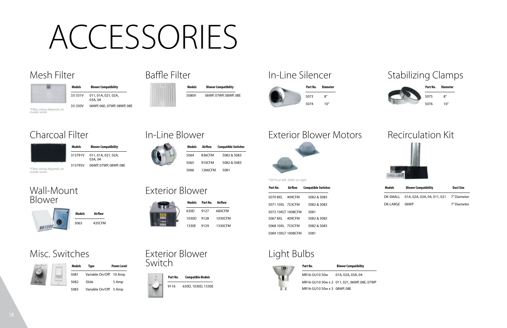## Recirculation Kit

![](_page_8_Picture_45.jpeg)

## Light Bulbs

## Exterior Blower Switch

## Wall-Mount Blower

![](_page_8_Picture_35.jpeg)

## Mesh Filter

![](_page_8_Picture_2.jpeg)

## Charcoal Filter

![](_page_8_Picture_12.jpeg)

![](_page_8_Picture_6.jpeg)

![](_page_8_Picture_7.jpeg)

## Exterior Blower

![](_page_8_Picture_21.jpeg)

# In-Line Blower

![](_page_8_Picture_17.jpeg)

Misc. Switches

## Exterior Blower Motors

![](_page_8_Picture_28.jpeg)

# ACCESSORIES

## 5080V **Models**

9116 630D, 1030D, 1330E **Compatible Models**

5063 435CFM **Models Airflow**

#### 33-331V 011, 01A, 021, 02A, **Models Blower Compatibility**

313791V 011, 01A, 021, 02A, **Models Blower Compatibility**

| Part No.         | Airflow | <b>Compatible Switches</b> | Models   | <b>Blower Compatibility</b>          | <b>Duct Size</b> |
|------------------|---------|----------------------------|----------|--------------------------------------|------------------|
| 5070 8XL         | 409CFM  | 5082 & 5083                |          | DK-SMALL 01A, 02A, 03A, 04, 011, 021 | 7″ Diameter      |
| 5071 10XL 753CFM |         | 5082 & 5083                | DK-LARGE | 06WP                                 | 7" Diameter      |

w<sub>P</sub>

| MR16-GU10 50w               | 01A, 02A, 03A, 04                         |
|-----------------------------|-------------------------------------------|
|                             | MR16-GU10 50w x 2 011, 021, 06WP, 06E, 07 |
| MR16-GU10 50w x 3 08WP, 08E |                                           |

**Part No.**

![](_page_8_Picture_42.jpeg)

![](_page_8_Picture_32.jpeg)

| Part No. | Diameter |  |
|----------|----------|--|
| 5075     | 8″       |  |
| 5076     | 10"      |  |

| Models Part No. Airflow |                    | 5071 10X |
|-------------------------|--------------------|----------|
| 630D 9127               | 660CFM             | 5072 10X |
|                         | 1030D 9128 1030CFM | 50678XL  |
|                         | 1330E 9129 1330CFM | 5068 10X |

5064 5065 5082 & 5083 5082 & 5083 836CFM 910CFM **Models Compatible Switches Airflow** 5081

![](_page_8_Picture_24.jpeg)

| Models | Type                   | <b>Power Level</b> |
|--------|------------------------|--------------------|
| 5081   | Variable On/Off 10 Amp |                    |
| 5082   | Slide                  | 5 Amp              |
| 5083   | Variable On/Off 5 Amp  |                    |

## In-Line Silencer Stabilizing Clamps

| ≧ľ      |         | Part No.           | Airflow | <b>Compatible Switches</b> |
|---------|---------|--------------------|---------|----------------------------|
|         |         | 5070 8XL           | 409CFM  | 5082 & 5083                |
|         | Airflow | 5071 10XL 753CFM   |         | 5082 & 5083                |
|         | 660CFM  | 5072 10XLT 1008CFM |         | 5081                       |
| 1030CFM |         | 5067 8XL           | 409CFM  | 5082 & 5083                |
| 1330CFM |         | 5068 10XL 753CFM   |         | 5082 & 5083                |
|         |         | 5069 10XLT 1008CFM |         | 5081                       |

06WP, 07WP, 08WP, 08E **Blower Compatibility**

| Part No. | <b>Diameter</b> |
|----------|-----------------|
| 5073     | 8''             |
| 5074     | 10"             |

**Blower Compatibility**

03A, 04 06WP, 06E, 07WP, 08WP, 08E

03A, 04 313795V 06WP, 07WP, 08WP, 08E

5066 1266CFM

33-330V \*Filter sizing depends on model series

\*Filter sizing depends on model series

\*507X on left, 506X on right